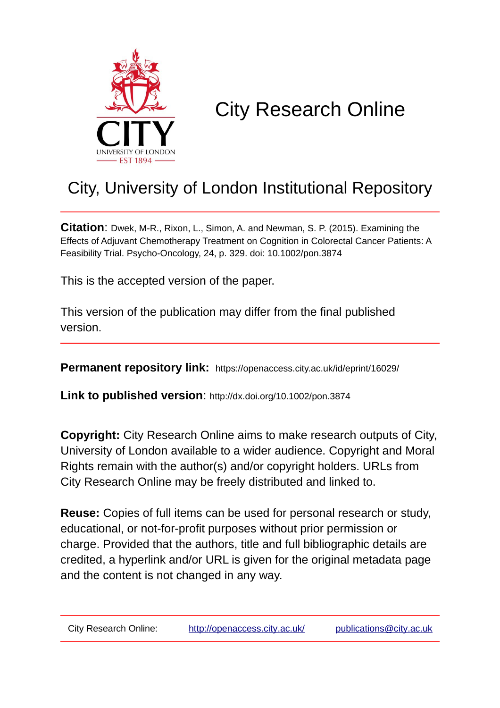

# City Research Online

# City, University of London Institutional Repository

**Citation**: Dwek, M-R., Rixon, L., Simon, A. and Newman, S. P. (2015). Examining the Effects of Adjuvant Chemotherapy Treatment on Cognition in Colorectal Cancer Patients: A Feasibility Trial. Psycho-Oncology, 24, p. 329. doi: 10.1002/pon.3874

This is the accepted version of the paper.

This version of the publication may differ from the final published version.

**Permanent repository link:** https://openaccess.city.ac.uk/id/eprint/16029/

**Link to published version**: http://dx.doi.org/10.1002/pon.3874

**Copyright:** City Research Online aims to make research outputs of City, University of London available to a wider audience. Copyright and Moral Rights remain with the author(s) and/or copyright holders. URLs from City Research Online may be freely distributed and linked to.

**Reuse:** Copies of full items can be used for personal research or study, educational, or not-for-profit purposes without prior permission or charge. Provided that the authors, title and full bibliographic details are credited, a hyperlink and/or URL is given for the original metadata page and the content is not changed in any way.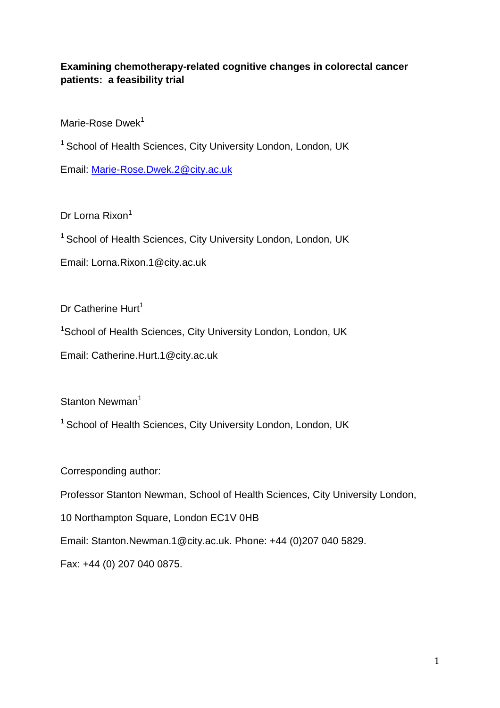# **Examining chemotherapy-related cognitive changes in colorectal cancer patients: a feasibility trial**

Marie-Rose Dwek<sup>1</sup>

<sup>1</sup> School of Health Sciences, City University London, London, UK

Email: [Marie-Rose.Dwek.2@city.ac.uk](mailto:Marie-Rose.Dwek.2@city.ac.uk)

Dr Lorna Rixon<sup>1</sup>

<sup>1</sup> School of Health Sciences, City University London, London, UK

Email: Lorna.Rixon.1@city.ac.uk

Dr Catherine Hurt $<sup>1</sup>$ </sup>

<sup>1</sup>School of Health Sciences, City University London, London, UK

Email: Catherine.Hurt.1@city.ac.uk

Stanton Newman<sup>1</sup>

 $1$  School of Health Sciences, City University London, London, UK

Corresponding author:

Professor Stanton Newman, School of Health Sciences, City University London,

10 Northampton Square, London EC1V 0HB

Email: Stanton.Newman.1@city.ac.uk. Phone: +44 (0)207 040 5829.

Fax: +44 (0) 207 040 0875.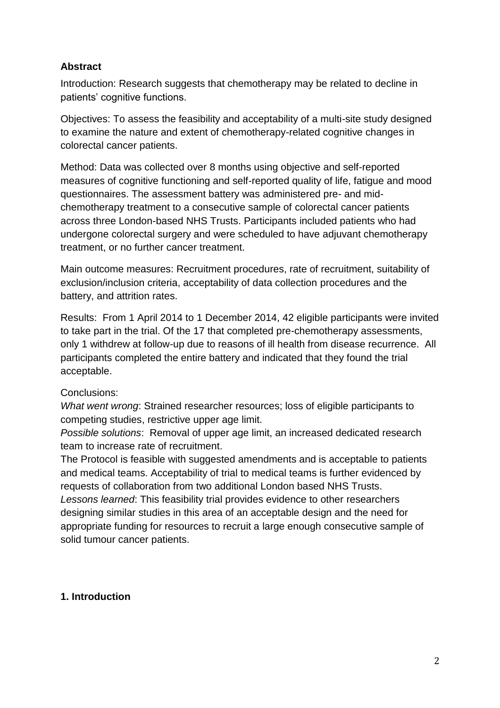# **Abstract**

Introduction: Research suggests that chemotherapy may be related to decline in patients' cognitive functions.

Objectives: To assess the feasibility and acceptability of a multi-site study designed to examine the nature and extent of chemotherapy-related cognitive changes in colorectal cancer patients.

Method: Data was collected over 8 months using objective and self-reported measures of cognitive functioning and self-reported quality of life, fatigue and mood questionnaires. The assessment battery was administered pre- and midchemotherapy treatment to a consecutive sample of colorectal cancer patients across three London-based NHS Trusts. Participants included patients who had undergone colorectal surgery and were scheduled to have adjuvant chemotherapy treatment, or no further cancer treatment.

Main outcome measures: Recruitment procedures, rate of recruitment, suitability of exclusion/inclusion criteria, acceptability of data collection procedures and the battery, and attrition rates.

Results: From 1 April 2014 to 1 December 2014, 42 eligible participants were invited to take part in the trial. Of the 17 that completed pre-chemotherapy assessments, only 1 withdrew at follow-up due to reasons of ill health from disease recurrence. All participants completed the entire battery and indicated that they found the trial acceptable.

# Conclusions:

*What went wrong*: Strained researcher resources; loss of eligible participants to competing studies, restrictive upper age limit.

*Possible solutions*: Removal of upper age limit, an increased dedicated research team to increase rate of recruitment.

The Protocol is feasible with suggested amendments and is acceptable to patients and medical teams. Acceptability of trial to medical teams is further evidenced by requests of collaboration from two additional London based NHS Trusts.

*Lessons learned*: This feasibility trial provides evidence to other researchers designing similar studies in this area of an acceptable design and the need for appropriate funding for resources to recruit a large enough consecutive sample of solid tumour cancer patients.

# **1. Introduction**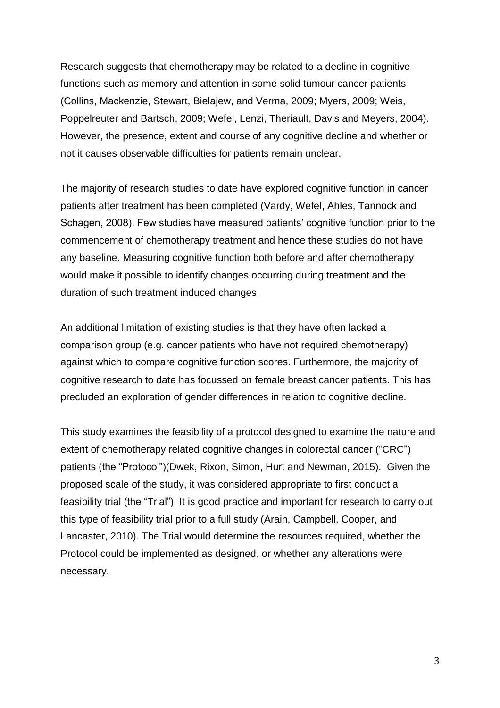Research suggests that chemotherapy may be related to a decline in cognitive functions such as memory and attention in some solid tumour cancer patients (Collins, Mackenzie, Stewart, Bielajew, and Verma, 2009; Myers, 2009; Weis, Poppelreuter and Bartsch, 2009; Wefel, Lenzi, Theriault, Davis and Meyers, 2004). However, the presence, extent and course of any cognitive decline and whether or not it causes observable difficulties for patients remain unclear.

The majority of research studies to date have explored cognitive function in cancer patients after treatment has been completed (Vardy, Wefel, Ahles, Tannock and Schagen, 2008). Few studies have measured patients' cognitive function prior to the commencement of chemotherapy treatment and hence these studies do not have any baseline. Measuring cognitive function both before and after chemotherapy would make it possible to identify changes occurring during treatment and the duration of such treatment induced changes.

An additional limitation of existing studies is that they have often lacked a comparison group (e.g. cancer patients who have not required chemotherapy) against which to compare cognitive function scores. Furthermore, the majority of cognitive research to date has focussed on female breast cancer patients. This has precluded an exploration of gender differences in relation to cognitive decline.

This study examines the feasibility of a protocol designed to examine the nature and extent of chemotherapy related cognitive changes in colorectal cancer ("CRC") patients (the "Protocol")(Dwek, Rixon, Simon, Hurt and Newman, 2015). Given the proposed scale of the study, it was considered appropriate to first conduct a feasibility trial (the "Trial"). It is good practice and important for research to carry out this type of feasibility trial prior to a full study (Arain, Campbell, Cooper, and Lancaster, 2010). The Trial would determine the resources required, whether the Protocol could be implemented as designed, or whether any alterations were necessary.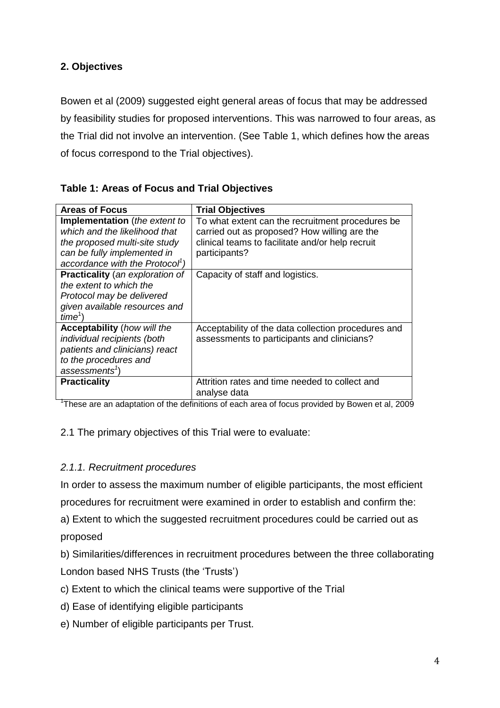# **2. Objectives**

Bowen et al (2009) suggested eight general areas of focus that may be addressed by feasibility studies for proposed interventions. This was narrowed to four areas, as the Trial did not involve an intervention. (See Table 1, which defines how the areas of focus correspond to the Trial objectives).

| uwiy 11711 yuu yi 1 yyuu uliu 111ul yw joyu 1 yo                                                       |                                                                                                                                                      |
|--------------------------------------------------------------------------------------------------------|------------------------------------------------------------------------------------------------------------------------------------------------------|
| <b>Areas of Focus</b>                                                                                  | <b>Trial Objectives</b>                                                                                                                              |
| <b>Implementation</b> (the extent to<br>which and the likelihood that<br>the proposed multi-site study | To what extent can the recruitment procedures be<br>carried out as proposed? How willing are the<br>clinical teams to facilitate and/or help recruit |
| can be fully implemented in<br>accordance with the Protocol <sup>1</sup> )                             | participants?                                                                                                                                        |
| <b>Practicality</b> (an exploration of                                                                 | Capacity of staff and logistics.                                                                                                                     |
| the extent to which the                                                                                |                                                                                                                                                      |
| Protocol may be delivered                                                                              |                                                                                                                                                      |
| given available resources and<br>$time^1$                                                              |                                                                                                                                                      |
| <b>Acceptability</b> (how will the                                                                     | Acceptability of the data collection procedures and                                                                                                  |
| individual recipients (both                                                                            | assessments to participants and clinicians?                                                                                                          |
| patients and clinicians) react                                                                         |                                                                                                                                                      |
| to the procedures and                                                                                  |                                                                                                                                                      |
| assessments <sup>1</sup> )                                                                             |                                                                                                                                                      |
| <b>Practicality</b>                                                                                    | Attrition rates and time needed to collect and                                                                                                       |

#### **Table 1: Areas of Focus and Trial Objectives**

<sup>1</sup>These are an adaptation of the definitions of each area of focus provided by Bowen et al, 2009

analyse data

2.1 The primary objectives of this Trial were to evaluate:

#### *2.1.1. Recruitment procedures*

In order to assess the maximum number of eligible participants, the most efficient procedures for recruitment were examined in order to establish and confirm the:

a) Extent to which the suggested recruitment procedures could be carried out as proposed

b) Similarities/differences in recruitment procedures between the three collaborating London based NHS Trusts (the 'Trusts')

- c) Extent to which the clinical teams were supportive of the Trial
- d) Ease of identifying eligible participants
- e) Number of eligible participants per Trust.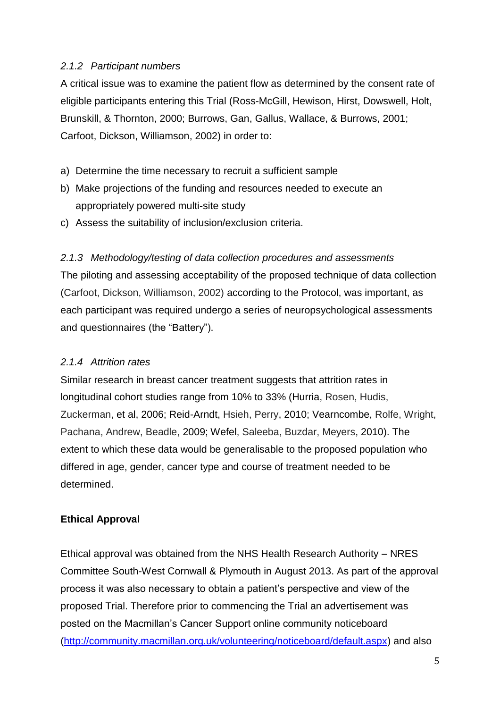#### *2.1.2 Participant numbers*

A critical issue was to examine the patient flow as determined by the consent rate of eligible participants entering this Trial (Ross-McGill, Hewison, Hirst, Dowswell, Holt, Brunskill, & Thornton, 2000; Burrows, Gan, Gallus, Wallace, & Burrows, 2001; Carfoot, Dickson, Williamson, 2002) in order to:

- a) Determine the time necessary to recruit a sufficient sample
- b) Make projections of the funding and resources needed to execute an appropriately powered multi-site study
- c) Assess the suitability of inclusion/exclusion criteria.

# *2.1.3 Methodology/testing of data collection procedures and assessments*

The piloting and assessing acceptability of the proposed technique of data collection (Carfoot, Dickson, Williamson, 2002) according to the Protocol, was important, as each participant was required undergo a series of neuropsychological assessments and questionnaires (the "Battery").

# *2.1.4 Attrition rates*

Similar research in breast cancer treatment suggests that attrition rates in longitudinal cohort studies range from 10% to 33% (Hurria, Rosen, Hudis, Zuckerman, et al, 2006; Reid-Arndt, Hsieh, Perry, 2010; Vearncombe, Rolfe, Wright, Pachana, Andrew, Beadle, 2009; Wefel, Saleeba, Buzdar, Meyers, 2010). The extent to which these data would be generalisable to the proposed population who differed in age, gender, cancer type and course of treatment needed to be determined.

# **Ethical Approval**

Ethical approval was obtained from the NHS Health Research Authority – NRES Committee South-West Cornwall & Plymouth in August 2013. As part of the approval process it was also necessary to obtain a patient's perspective and view of the proposed Trial. Therefore prior to commencing the Trial an advertisement was posted on the Macmillan's Cancer Support online community noticeboard [\(http://community.macmillan.org.uk/volunteering/noticeboard/default.aspx\)](http://community.macmillan.org.uk/volunteering/noticeboard/default.aspx) and also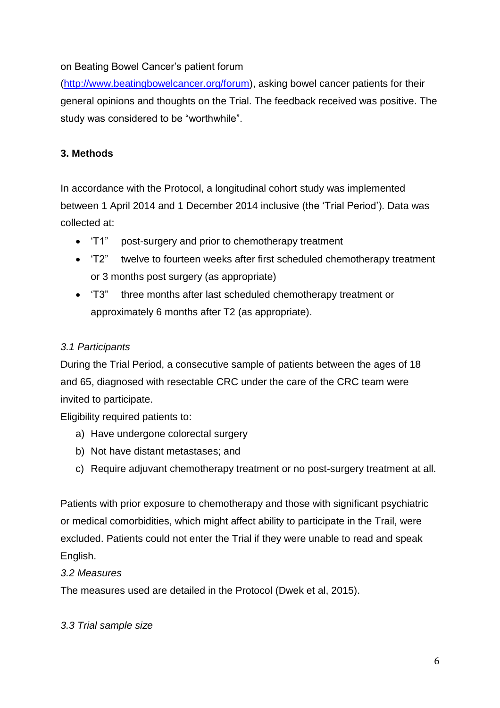# on Beating Bowel Cancer's patient forum

[\(http://www.beatingbowelcancer.org/forum\)](http://www.beatingbowelcancer.org/forum/), asking bowel cancer patients for their general opinions and thoughts on the Trial. The feedback received was positive. The study was considered to be "worthwhile".

# **3. Methods**

In accordance with the Protocol, a longitudinal cohort study was implemented between 1 April 2014 and 1 December 2014 inclusive (the 'Trial Period'). Data was collected at:

- 'T1" post-surgery and prior to chemotherapy treatment
- 'T2" twelve to fourteen weeks after first scheduled chemotherapy treatment or 3 months post surgery (as appropriate)
- 'T3" three months after last scheduled chemotherapy treatment or approximately 6 months after T2 (as appropriate).

# *3.1 Participants*

During the Trial Period, a consecutive sample of patients between the ages of 18 and 65, diagnosed with resectable CRC under the care of the CRC team were invited to participate.

Eligibility required patients to:

- a) Have undergone colorectal surgery
- b) Not have distant metastases; and
- c) Require adjuvant chemotherapy treatment or no post-surgery treatment at all.

Patients with prior exposure to chemotherapy and those with significant psychiatric or medical comorbidities, which might affect ability to participate in the Trail, were excluded. Patients could not enter the Trial if they were unable to read and speak English.

# *3.2 Measures*

The measures used are detailed in the Protocol (Dwek et al, 2015).

# *3.3 Trial sample size*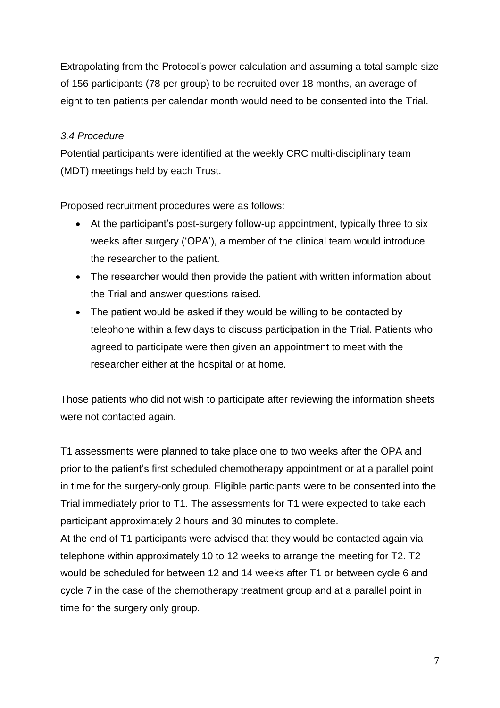Extrapolating from the Protocol's power calculation and assuming a total sample size of 156 participants (78 per group) to be recruited over 18 months, an average of eight to ten patients per calendar month would need to be consented into the Trial.

#### *3.4 Procedure*

Potential participants were identified at the weekly CRC multi-disciplinary team (MDT) meetings held by each Trust.

Proposed recruitment procedures were as follows:

- At the participant's post-surgery follow-up appointment, typically three to six weeks after surgery ('OPA'), a member of the clinical team would introduce the researcher to the patient.
- The researcher would then provide the patient with written information about the Trial and answer questions raised.
- The patient would be asked if they would be willing to be contacted by telephone within a few days to discuss participation in the Trial. Patients who agreed to participate were then given an appointment to meet with the researcher either at the hospital or at home.

Those patients who did not wish to participate after reviewing the information sheets were not contacted again.

T1 assessments were planned to take place one to two weeks after the OPA and prior to the patient's first scheduled chemotherapy appointment or at a parallel point in time for the surgery-only group. Eligible participants were to be consented into the Trial immediately prior to T1. The assessments for T1 were expected to take each participant approximately 2 hours and 30 minutes to complete.

At the end of T1 participants were advised that they would be contacted again via telephone within approximately 10 to 12 weeks to arrange the meeting for T2. T2 would be scheduled for between 12 and 14 weeks after T1 or between cycle 6 and cycle 7 in the case of the chemotherapy treatment group and at a parallel point in time for the surgery only group.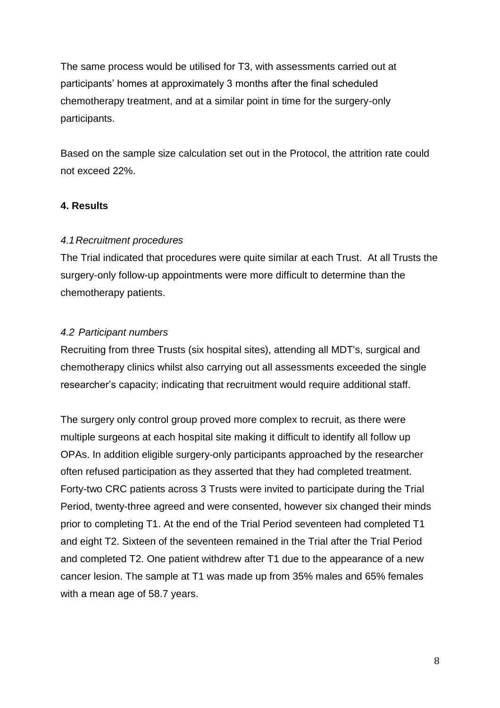The same process would be utilised for T3, with assessments carried out at participants' homes at approximately 3 months after the final scheduled chemotherapy treatment, and at a similar point in time for the surgery-only participants.

Based on the sample size calculation set out in the Protocol, the attrition rate could not exceed 22%.

# **4. Results**

#### *4.1Recruitment procedures*

The Trial indicated that procedures were quite similar at each Trust. At all Trusts the surgery-only follow-up appointments were more difficult to determine than the chemotherapy patients.

#### *4.2 Participant numbers*

Recruiting from three Trusts (six hospital sites), attending all MDT's, surgical and chemotherapy clinics whilst also carrying out all assessments exceeded the single researcher's capacity; indicating that recruitment would require additional staff.

The surgery only control group proved more complex to recruit, as there were multiple surgeons at each hospital site making it difficult to identify all follow up OPAs. In addition eligible surgery-only participants approached by the researcher often refused participation as they asserted that they had completed treatment. Forty-two CRC patients across 3 Trusts were invited to participate during the Trial Period, twenty-three agreed and were consented, however six changed their minds prior to completing T1. At the end of the Trial Period seventeen had completed T1 and eight T2. Sixteen of the seventeen remained in the Trial after the Trial Period and completed T2. One patient withdrew after T1 due to the appearance of a new cancer lesion. The sample at T1 was made up from 35% males and 65% females with a mean age of 58.7 years.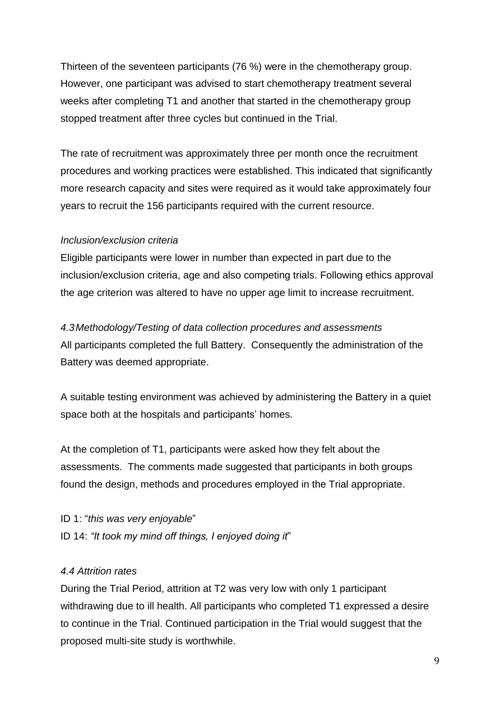Thirteen of the seventeen participants (76 %) were in the chemotherapy group. However, one participant was advised to start chemotherapy treatment several weeks after completing T1 and another that started in the chemotherapy group stopped treatment after three cycles but continued in the Trial.

The rate of recruitment was approximately three per month once the recruitment procedures and working practices were established. This indicated that significantly more research capacity and sites were required as it would take approximately four years to recruit the 156 participants required with the current resource.

# *Inclusion/exclusion criteria*

Eligible participants were lower in number than expected in part due to the inclusion/exclusion criteria, age and also competing trials. Following ethics approval the age criterion was altered to have no upper age limit to increase recruitment.

# *4.3Methodology/Testing of data collection procedures and assessments*

All participants completed the full Battery. Consequently the administration of the Battery was deemed appropriate.

A suitable testing environment was achieved by administering the Battery in a quiet space both at the hospitals and participants' homes.

At the completion of T1, participants were asked how they felt about the assessments. The comments made suggested that participants in both groups found the design, methods and procedures employed in the Trial appropriate.

ID 1: "*this was very enjoyable*" ID 14: *"It took my mind off things, I enjoyed doing it*"

# *4.4 Attrition rates*

During the Trial Period, attrition at T2 was very low with only 1 participant withdrawing due to ill health. All participants who completed T1 expressed a desire to continue in the Trial. Continued participation in the Trial would suggest that the proposed multi-site study is worthwhile.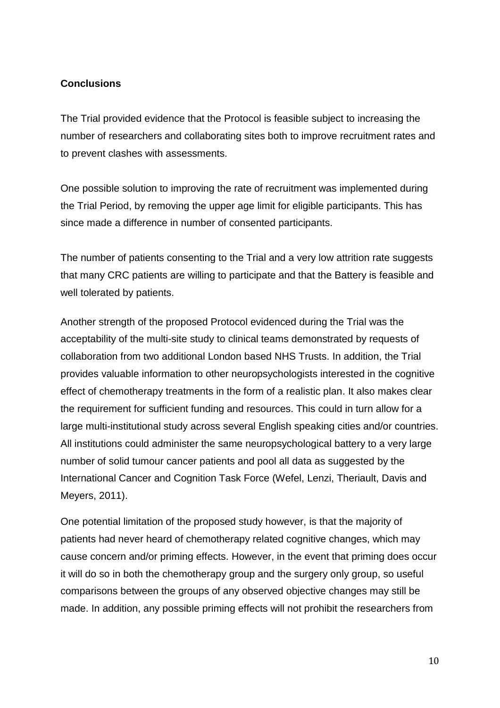# **Conclusions**

The Trial provided evidence that the Protocol is feasible subject to increasing the number of researchers and collaborating sites both to improve recruitment rates and to prevent clashes with assessments.

One possible solution to improving the rate of recruitment was implemented during the Trial Period, by removing the upper age limit for eligible participants. This has since made a difference in number of consented participants.

The number of patients consenting to the Trial and a very low attrition rate suggests that many CRC patients are willing to participate and that the Battery is feasible and well tolerated by patients.

Another strength of the proposed Protocol evidenced during the Trial was the acceptability of the multi-site study to clinical teams demonstrated by requests of collaboration from two additional London based NHS Trusts. In addition, the Trial provides valuable information to other neuropsychologists interested in the cognitive effect of chemotherapy treatments in the form of a realistic plan. It also makes clear the requirement for sufficient funding and resources. This could in turn allow for a large multi-institutional study across several English speaking cities and/or countries. All institutions could administer the same neuropsychological battery to a very large number of solid tumour cancer patients and pool all data as suggested by the International Cancer and Cognition Task Force (Wefel, Lenzi, Theriault, Davis and Meyers, 2011).

One potential limitation of the proposed study however, is that the majority of patients had never heard of chemotherapy related cognitive changes, which may cause concern and/or priming effects. However, in the event that priming does occur it will do so in both the chemotherapy group and the surgery only group, so useful comparisons between the groups of any observed objective changes may still be made. In addition, any possible priming effects will not prohibit the researchers from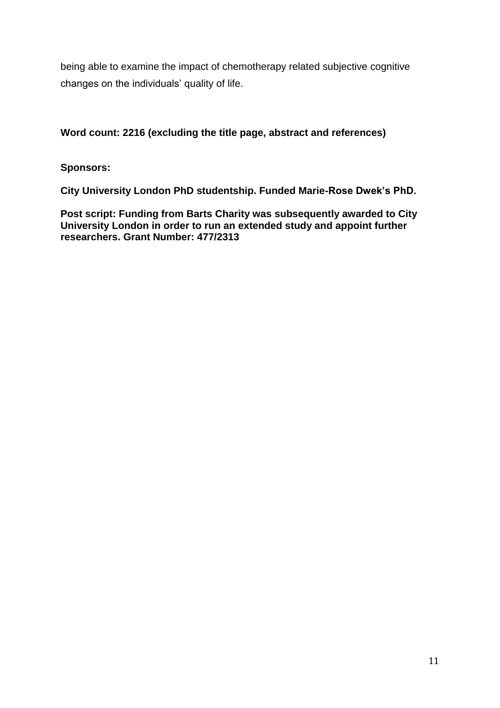being able to examine the impact of chemotherapy related subjective cognitive changes on the individuals' quality of life.

# **Word count: 2216 (excluding the title page, abstract and references)**

# **Sponsors:**

**City University London PhD studentship. Funded Marie-Rose Dwek's PhD.** 

**Post script: Funding from Barts Charity was subsequently awarded to City University London in order to run an extended study and appoint further researchers. Grant Number: 477/2313**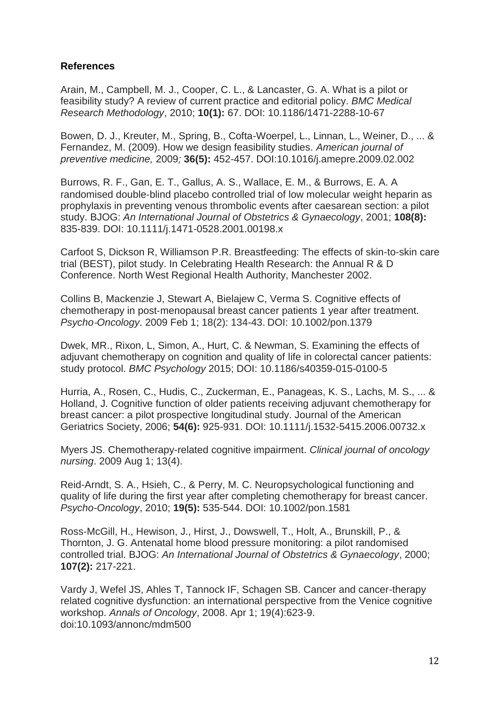# **References**

Arain, M., Campbell, M. J., Cooper, C. L., & Lancaster, G. A. What is a pilot or feasibility study? A review of current practice and editorial policy. *BMC Medical Research Methodology*, 2010; **10(1):** 67. DOI: 10.1186/1471-2288-10-67

Bowen, D. J., Kreuter, M., Spring, B., Cofta-Woerpel, L., Linnan, L., Weiner, D., ... & Fernandez, M. (2009). How we design feasibility studies. *American journal of preventive medicine,* 2009*;* **36(5):** 452-457. DOI:10.1016/j.amepre.2009.02.002

Burrows, R. F., Gan, E. T., Gallus, A. S., Wallace, E. M., & Burrows, E. A. A randomised double‐blind placebo controlled trial of low molecular weight heparin as prophylaxis in preventing venous thrombolic events after caesarean section: a pilot study. BJOG: *An International Journal of Obstetrics & Gynaecology*, 2001; **108(8):** 835-839. DOI: 10.1111/j.1471-0528.2001.00198.x

Carfoot S, Dickson R, Williamson P.R. Breastfeeding: The effects of skin-to-skin care trial (BEST), pilot study. In Celebrating Health Research: the Annual R & D Conference. North West Regional Health Authority, Manchester 2002.

Collins B, Mackenzie J, Stewart A, Bielajew C, Verma S. Cognitive effects of chemotherapy in post‐menopausal breast cancer patients 1 year after treatment. *Psycho*‐*Oncology*. 2009 Feb 1; 18(2): 134-43. DOI: 10.1002/pon.1379

Dwek, MR., Rixon, L, Simon, A., Hurt, C. & Newman, S. Examining the effects of adjuvant chemotherapy on cognition and quality of life in colorectal cancer patients: study protocol. *BMC Psychology* 2015; DOI: 10.1186/s40359-015-0100-5

Hurria, A., Rosen, C., Hudis, C., Zuckerman, E., Panageas, K. S., Lachs, M. S., ... & Holland, J. Cognitive function of older patients receiving adjuvant chemotherapy for breast cancer: a pilot prospective longitudinal study. Journal of the American Geriatrics Society, 2006; **54(6):** 925-931. DOI: 10.1111/j.1532-5415.2006.00732.x

Myers JS. Chemotherapy-related cognitive impairment. *Clinical journal of oncology nursing*. 2009 Aug 1; 13(4).

Reid-Arndt, S. A., Hsieh, C., & Perry, M. C. Neuropsychological functioning and quality of life during the first year after completing chemotherapy for breast cancer. *Psycho-Oncology*, 2010; **19(5):** 535-544. DOI: 10.1002/pon.1581

Ross‐McGill, H., Hewison, J., Hirst, J., Dowswell, T., Holt, A., Brunskill, P., & Thornton, J. G. Antenatal home blood pressure monitoring: a pilot randomised controlled trial. BJOG: *An International Journal of Obstetrics & Gynaecology*, 2000; **107(2):** 217-221.

Vardy J, Wefel JS, Ahles T, Tannock IF, Schagen SB. Cancer and cancer-therapy related cognitive dysfunction: an international perspective from the Venice cognitive workshop. *Annals of Oncology*, 2008. Apr 1; 19(4):623-9. doi:10.1093/annonc/mdm500